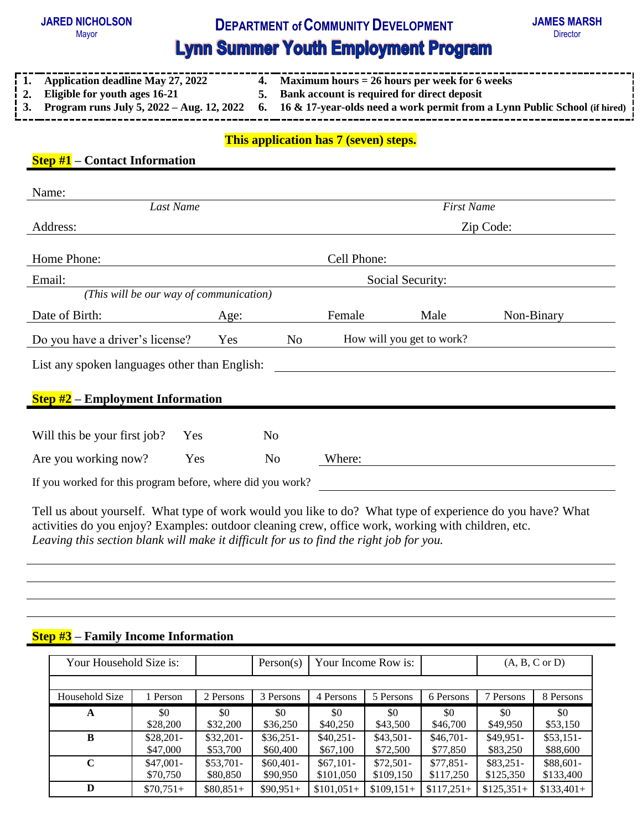## **JARED NICHOLSON**



# **Lynn Summer Youth Employment Program**<br> **Lynn Summer Youth Employment Program**

| $\frac{1}{2}$ 1. Application deadline May 27, 2022 | 4. Maximum hours $= 26$ hours per week for 6 weeks                                                                                 |
|----------------------------------------------------|------------------------------------------------------------------------------------------------------------------------------------|
| $\frac{1}{2}$ . Eligible for youth ages 16-21      | 5. Bank account is required for direct deposit                                                                                     |
|                                                    | <b>1</b> 3. Program runs July 5, 2022 – Aug. 12, 2022 6. 16 & 17-year-olds need a work permit from a Lynn Public School (if hired) |

#### **This application has 7 (seven) steps.**

| <b>Step #1</b> – Contact Information |  |
|--------------------------------------|--|
|--------------------------------------|--|

| Name:                                                      |                                                            |                   |                           |      |            |  |  |  |  |
|------------------------------------------------------------|------------------------------------------------------------|-------------------|---------------------------|------|------------|--|--|--|--|
| Last Name                                                  |                                                            | <b>First Name</b> |                           |      |            |  |  |  |  |
| Address:                                                   |                                                            |                   |                           |      | Zip Code:  |  |  |  |  |
| Home Phone:                                                |                                                            |                   | Cell Phone:               |      |            |  |  |  |  |
| Email:                                                     |                                                            |                   | Social Security:          |      |            |  |  |  |  |
| (This will be our way of communication)                    |                                                            |                   |                           |      |            |  |  |  |  |
| Date of Birth:                                             | Age:                                                       |                   | Female                    | Male | Non-Binary |  |  |  |  |
| Do you have a driver's license?                            | Yes                                                        | N <sub>o</sub>    | How will you get to work? |      |            |  |  |  |  |
| List any spoken languages other than English:              |                                                            |                   |                           |      |            |  |  |  |  |
| <b>Step <math>\sharp 2</math></b> – Employment Information |                                                            |                   |                           |      |            |  |  |  |  |
| Will this be your first job?                               | Yes                                                        | N <sub>0</sub>    |                           |      |            |  |  |  |  |
| Are you working now?                                       | Yes                                                        | No                | Where:                    |      |            |  |  |  |  |
|                                                            | If you worked for this program before, where did you work? |                   |                           |      |            |  |  |  |  |

Tell us about yourself. What type of work would you like to do? What type of experience do you have? What activities do you enjoy? Examples: outdoor cleaning crew, office work, working with children, etc. *Leaving this section blank will make it difficult for us to find the right job for you.*

### **Step #3 – Family Income Information**

| Your Household Size is: |            |            | Person(s)  | Your Income Row is: |             |             | $(A, B, C \text{ or } D)$ |             |
|-------------------------|------------|------------|------------|---------------------|-------------|-------------|---------------------------|-------------|
| Household Size          | Person     | 2 Persons  | 3 Persons  | 4 Persons           | 5 Persons   | 6 Persons   | 7 Persons                 | 8 Persons   |
| A                       | \$0        | \$0        | \$0        | \$0                 | \$0         | \$0         | \$0                       | \$0         |
|                         | \$28,200   | \$32,200   | \$36,250   | \$40,250            | \$43,500    | \$46,700    | \$49,950                  | \$53,150    |
| B                       | $$28,201-$ | $$32,201-$ | $$36,251-$ | $$40,251-$          | $$43,501-$  | $$46,701-$  | $$49,951-$                | $$53,151-$  |
|                         | \$47,000   | \$53,700   | \$60,400   | \$67,100            | \$72,500    | \$77,850    | \$83,250                  | \$88,600    |
| $\mathbf C$             | $$47,001-$ | $$53,701-$ | $$60,401-$ | $$67,101-$          | $$72,501-$  | $$77,851-$  | $$83,251-$                | \$88,601-   |
|                         | \$70,750   | \$80,850   | \$90,950   | \$101,050           | \$109,150   | \$117,250   | \$125,350                 | \$133,400   |
| D                       | $$70,751+$ | $$80,851+$ | $$90,951+$ | $$101,051+$         | $$109,151+$ | $$117,251+$ | $$125,351+$               | $$133,401+$ |